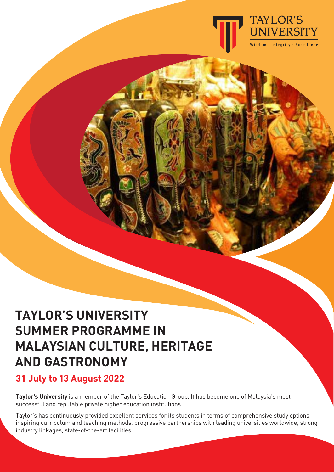

# **TAYLOR'S UNIVERSITY SUMMER PROGRAMME IN MALAYSIAN CULTURE, HERITAGE AND GASTRONOMY**

# **31 July to 13 August 2022**

**Taylor's University** is a member of the Taylor's Education Group. It has become one of Malaysia's most successful and reputable private higher education institutions.

Taylor's has continuously provided excellent services for its students in terms of comprehensive study options, inspiring curriculum and teaching methods, progressive partnerships with leading universities worldwide, strong industry linkages, state-of-the-art facilities.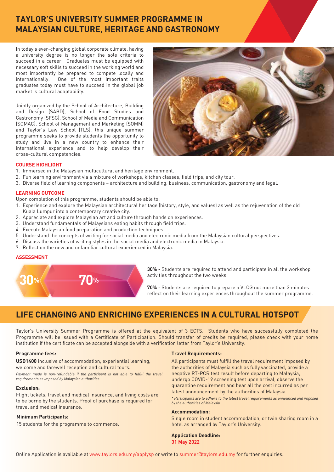# **TAYLOR'S UNIVERSITY SUMMER PROGRAMME IN MALAYSIAN CULTURE, HERITAGE AND GASTRONOMY**

In today's ever-changing global corporate climate, having a university degree is no longer the sole criteria to succeed in a career. Graduates must be equipped with necessary soft skills to succeed in the working world and most importantly be prepared to compete locally and internationally. One of the most important traits graduates today must have to succeed in the global job market is cultural adaptability.

Jointly organized by the School of Architecture, Building and Design (SABD), School of Food Studies and Gastronomy (SFSG), School of Media and Communication (SOMAC), School of Management and Marketing (SOMM) and Taylor's Law School (TLS), this unique summer programme seeks to provide students the opportunity to study and live in a new country to enhance their international experience and to help develop their cross-cultural competencies.



### **COURSE HIGHLIGHT**

- 1. Immersed in the Malaysian multicultural and heritage environment.
- 2. Fun learning environment via a mixture of workshops, kitchen classes, field trips, and city tour.
- 3. Diverse field of learning components architecture and building, business, communication, gastronomy and legal.

### **LEARNING OUTCOME**

Upon completion of this programme, students should be able to:

- 1. Experience and explore the Malaysian architectural heritage (history, style, and values) as well as the rejuvenation of the old Kuala Lumpur into a contemporary creative city.
- 2. Appreciate and explore Malaysian art and culture through hands on experiences.
- 3. Understand fundamentals of Malaysians eating habits through field trips.
- 4. Execute Malaysian food preparation and production techniques.
- 5. Understand the concepts of writing for social media and electronic media from the Malaysian cultural perspectives.
- 6. Discuss the varieties of writing styles in the social media and electronic media in Malaysia.
- 7. Reflect on the new and unfamiliar cultural experienced in Malaysia.

## **ASSESSMENT**



**30%** - Students are required to attend and participate in all the workshop activities throughout the two weeks.

**70%** - Students are required to prepare a VLOG not more than 3 minutes reflect on their learning experiences throughout the summer programme.

# **LIFE CHANGING AND ENRICHING EXPERIENCES IN A CULTURAL HOTSPOT**

Taylor's University Summer Programme is offered at the equivalent of 3 ECTS. Students who have successfully completed the Programme will be issued with a Certificate of Participation. Should transfer of credits be required, please check with your home institution if the certificate can be accepted alongside with a verification letter from Taylor's University.

#### **Programme fees:**

**USD1400** inclusive of accommodation, experiential learning, welcome and farewell reception and cultural tours.

Payment made is non-refundable if the participant is not able to fulfill the travel *requirements as imposed by Malaysian authorities.*

#### **Exclusion:**

Flight tickets, travel and medical insurance, and living costs are to be borne by the students. Proof of purchase is required for travel and medical insurance.

#### **Minimum Participants:**

15 students for the programme to commence.

#### **Travel Requirements:**

All participants must fulfill the travel requirement imposed by the authorities of Malaysia such as fully vaccinated, provide a negative RT-PCR test result before departing to Malaysia, undergo COVID-19 screening test upon arrival, observe the quarantine requirement and bear all the cost incurred as per latest announcement by the authorities of Malaysia.

*\* Participants are to adhere to the latest travel requirements as announced and imposed by the authorities of Malaysia.*

#### **Accommodation:**

Single room in student accommodation, or twin sharing room in a hotel as arranged by Taylor's University.

**Application Deadline: 31 May 2022**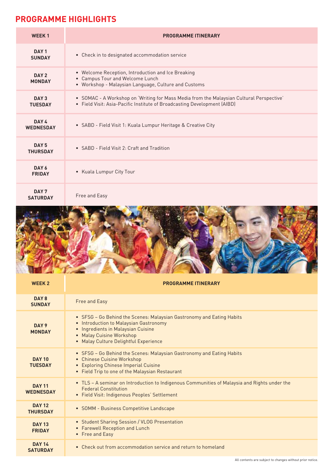# **PROGRAMME HIGHLIGHTS**

| <b>WEEK1</b>                        | <b>PROGRAMME ITINERARY</b>                                                                                                                                           |
|-------------------------------------|----------------------------------------------------------------------------------------------------------------------------------------------------------------------|
| DAY <sub>1</sub><br><b>SUNDAY</b>   | • Check in to designated accommodation service                                                                                                                       |
| DAY <sub>2</sub><br><b>MONDAY</b>   | • Welcome Reception, Introduction and Ice Breaking<br>• Campus Tour and Welcome Lunch<br>• Workshop - Malaysian Language, Culture and Customs                        |
| DAY <sub>3</sub><br><b>TUESDAY</b>  | • SOMAC - A Workshop on 'Writing for Mass Media from the Malaysian Cultural Perspective'<br>• Field Visit: Asia-Pacific Institute of Broadcasting Development (AIBD) |
| DAY 4<br><b>WEDNESDAY</b>           | • SABD - Field Visit 1: Kuala Lumpur Heritage & Creative City                                                                                                        |
| DAY <sub>5</sub><br><b>THURSDAY</b> | • SARD - Field Visit 2: Craft and Tradition                                                                                                                          |
| DAY 6<br><b>FRIDAY</b>              | • Kuala Lumpur City Tour                                                                                                                                             |
| DAY <sub>7</sub><br><b>SATURDAY</b> | Free and Easy                                                                                                                                                        |



| <b>WEEK 2</b>                     | <b>PROGRAMME ITINERARY</b>                                                                                                                                                                                                            |
|-----------------------------------|---------------------------------------------------------------------------------------------------------------------------------------------------------------------------------------------------------------------------------------|
| DAY 8<br><b>SUNDAY</b>            | <b>Free and Easy</b>                                                                                                                                                                                                                  |
| DAY 9<br><b>MONDAY</b>            | • SFSG - Go Behind the Scenes: Malaysian Gastronomy and Eating Habits<br>• Introduction to Malaysian Gastronomy<br>Ingredients in Malaysian Cuisine<br>$\bullet$<br>• Malay Cuisine Workshop<br>• Malay Culture Delightful Experience |
| <b>DAY 10</b><br><b>TUESDAY</b>   | • SFSG - Go Behind the Scenes: Malaysian Gastronomy and Eating Habits<br>• Chinese Cuisine Workshop<br><b>Exploring Chinese Imperial Cuisine</b><br>• Field Trip to one of the Malaysian Restaurant                                   |
| <b>DAY 11</b><br><b>WEDNESDAY</b> | • TLS - A seminar on Introduction to Indigenous Communities of Malaysia and Rights under the<br><b>Federal Constitution</b><br>• Field Visit: Indigenous Peoples' Settlement                                                          |
| <b>DAY 12</b><br><b>THURSDAY</b>  | • SOMM - Business Competitive Landscape                                                                                                                                                                                               |
| <b>DAY 13</b><br><b>FRIDAY</b>    | • Student Sharing Session / VLOG Presentation<br>• Farewell Reception and Lunch<br>• Free and Easy                                                                                                                                    |
| <b>DAY 14</b><br><b>SATURDAY</b>  | • Check out from accommodation service and return to homeland                                                                                                                                                                         |
|                                   |                                                                                                                                                                                                                                       |